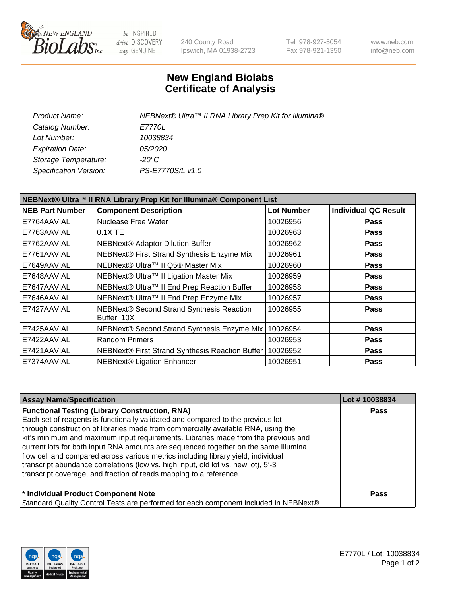

be INSPIRED drive DISCOVERY stay GENUINE

240 County Road Ipswich, MA 01938-2723 Tel 978-927-5054 Fax 978-921-1350 www.neb.com info@neb.com

## **New England Biolabs Certificate of Analysis**

| Product Name:           | NEBNext® Ultra™ II RNA Library Prep Kit for Illumina® |
|-------------------------|-------------------------------------------------------|
| Catalog Number:         | <i>E7770L</i>                                         |
| Lot Number:             | 10038834                                              |
| <b>Expiration Date:</b> | <i>05/2020</i>                                        |
| Storage Temperature:    | -20°C                                                 |
| Specification Version:  | PS-E7770S/L v1.0                                      |
|                         |                                                       |

| NEBNext® Ultra™ II RNA Library Prep Kit for Illumina® Component List |                                                            |                   |                             |  |  |
|----------------------------------------------------------------------|------------------------------------------------------------|-------------------|-----------------------------|--|--|
| <b>NEB Part Number</b>                                               | <b>Component Description</b>                               | <b>Lot Number</b> | <b>Individual QC Result</b> |  |  |
| E7764AAVIAL                                                          | Nuclease Free Water                                        | 10026956          | <b>Pass</b>                 |  |  |
| E7763AAVIAL                                                          | 0.1X TE                                                    | 10026963          | <b>Pass</b>                 |  |  |
| E7762AAVIAL                                                          | <b>NEBNext® Adaptor Dilution Buffer</b>                    | 10026962          | <b>Pass</b>                 |  |  |
| E7761AAVIAL                                                          | NEBNext® First Strand Synthesis Enzyme Mix                 | 10026961          | <b>Pass</b>                 |  |  |
| E7649AAVIAL                                                          | NEBNext® Ultra™ II Q5® Master Mix                          | 10026960          | <b>Pass</b>                 |  |  |
| E7648AAVIAL                                                          | NEBNext® Ultra™ II Ligation Master Mix                     | 10026959          | <b>Pass</b>                 |  |  |
| E7647AAVIAL                                                          | NEBNext® Ultra™ II End Prep Reaction Buffer                | 10026958          | <b>Pass</b>                 |  |  |
| E7646AAVIAL                                                          | NEBNext® Ultra™ II End Prep Enzyme Mix                     | 10026957          | <b>Pass</b>                 |  |  |
| E7427AAVIAL                                                          | NEBNext® Second Strand Synthesis Reaction<br>Buffer, 10X   | 10026955          | <b>Pass</b>                 |  |  |
| E7425AAVIAL                                                          | NEBNext® Second Strand Synthesis Enzyme Mix                | 10026954          | <b>Pass</b>                 |  |  |
| E7422AAVIAL                                                          | <b>Random Primers</b>                                      | 10026953          | <b>Pass</b>                 |  |  |
| E7421AAVIAL                                                          | NEBNext® First Strand Synthesis Reaction Buffer   10026952 |                   | <b>Pass</b>                 |  |  |
| E7374AAVIAL                                                          | NEBNext® Ligation Enhancer                                 | 10026951          | <b>Pass</b>                 |  |  |

| <b>Assay Name/Specification</b>                                                      | Lot #10038834 |
|--------------------------------------------------------------------------------------|---------------|
| <b>Functional Testing (Library Construction, RNA)</b>                                | <b>Pass</b>   |
| Each set of reagents is functionally validated and compared to the previous lot      |               |
| through construction of libraries made from commercially available RNA, using the    |               |
| kit's minimum and maximum input requirements. Libraries made from the previous and   |               |
| current lots for both input RNA amounts are sequenced together on the same Illumina  |               |
| flow cell and compared across various metrics including library yield, individual    |               |
| transcript abundance correlations (low vs. high input, old lot vs. new lot), 5'-3'   |               |
| transcript coverage, and fraction of reads mapping to a reference.                   |               |
| * Individual Product Component Note                                                  | Pass          |
| Standard Quality Control Tests are performed for each component included in NEBNext® |               |